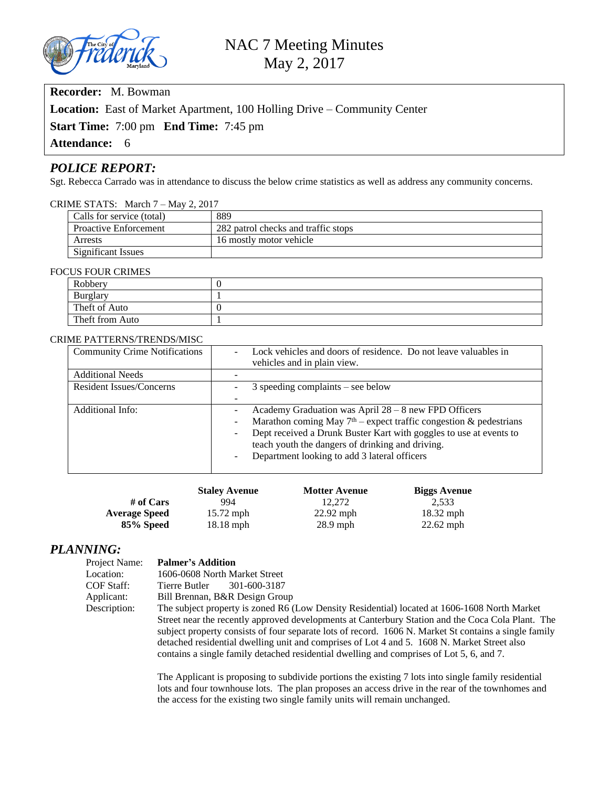

## **Recorder:** M. Bowman

**Location:** East of Market Apartment, 100 Holling Drive – Community Center

**Start Time:** 7:00 pm **End Time:** 7:45 pm

**Attendance:** 6

#### *POLICE REPORT:*

Sgt. Rebecca Carrado was in attendance to discuss the below crime statistics as well as address any community concerns.

#### CRIME STATS: March 7 – May 2, 2017

| Calls for service (total)    | 889                                 |
|------------------------------|-------------------------------------|
| <b>Proactive Enforcement</b> | 282 patrol checks and traffic stops |
| Arrests                      | 16 mostly motor vehicle             |
| <b>Significant Issues</b>    |                                     |

#### FOCUS FOUR CRIMES

| Robbery         |  |  |
|-----------------|--|--|
| Burglary        |  |  |
| Theft of Auto   |  |  |
| Theft from Auto |  |  |

#### CRIME PATTERNS/TRENDS/MISC

| <b>Community Crime Notifications</b> | Lock vehicles and doors of residence. Do not leave valuables in<br>$\overline{a}$                   |
|--------------------------------------|-----------------------------------------------------------------------------------------------------|
|                                      | vehicles and in plain view.                                                                         |
| <b>Additional Needs</b>              |                                                                                                     |
| <b>Resident Issues/Concerns</b>      | $3$ speeding complaints – see below                                                                 |
|                                      | $\qquad \qquad$                                                                                     |
| Additional Info:                     | Academy Graduation was April $28 - 8$ new FPD Officers<br>$\qquad \qquad -$                         |
|                                      | Marathon coming May $7th$ – expect traffic congestion & pedestrians<br>$\qquad \qquad \blacksquare$ |
|                                      | Dept received a Drunk Buster Kart with goggles to use at events to<br>$\qquad \qquad \blacksquare$  |
|                                      | teach youth the dangers of drinking and driving.                                                    |
|                                      | Department looking to add 3 lateral officers<br>$\blacksquare$                                      |
|                                      |                                                                                                     |

|                      | <b>Staley Avenue</b> | <b>Motter Avenue</b> | <b>Biggs Avenue</b> |
|----------------------|----------------------|----------------------|---------------------|
| # of Cars            | 994                  | 12.272               | 2.533               |
| <b>Average Speed</b> | $15.72$ mph          | $22.92$ mph          | $18.32$ mph         |
| 85% Speed            | $18.18$ mph          | $28.9$ mph           | $22.62$ mph         |

# *PLANNING:*<br>Project Name:

#### **Palmer's Addition**

Location: 1606-0608 North Market Street COF Staff: Tierre Butler 301-600-3187<br>Applicant: Bill Brennan, B&R Design Grou Bill Brennan, B&R Design Group

Description: The subject property is zoned R6 (Low Density Residential) located at 1606-1608 North Market

Street near the recently approved developments at Canterbury Station and the Coca Cola Plant. The subject property consists of four separate lots of record. 1606 N. Market St contains a single family detached residential dwelling unit and comprises of Lot 4 and 5. 1608 N. Market Street also contains a single family detached residential dwelling and comprises of Lot 5, 6, and 7.

The Applicant is proposing to subdivide portions the existing 7 lots into single family residential lots and four townhouse lots. The plan proposes an access drive in the rear of the townhomes and the access for the existing two single family units will remain unchanged.